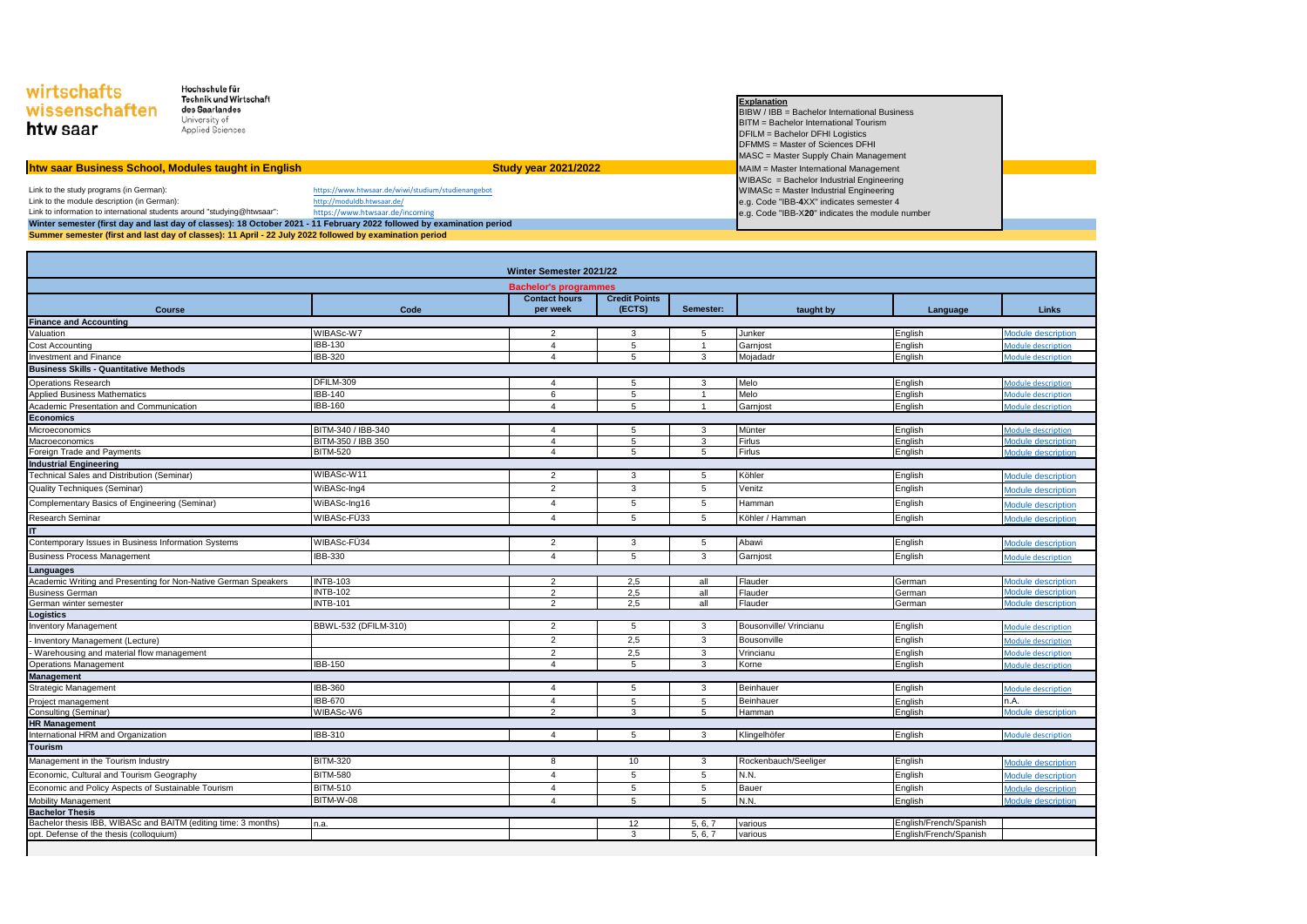| wirtschafts<br>wissenschaften<br>htw saar                                                               | Hochschule für<br>Technik und Wirtschaft<br>des Saarlandes<br>University of<br>Applied Sciences |                                                                                                                        |  | <b>Explanation</b><br>BIBW / IBB = Bachelor International Business<br>BITM = Bachelor International Tourism<br>DFILM = Bachelor DFHI Logistics<br>DFMMS = Master of Sciences DFHI<br>MASC = Master Supply Chain Management |  |
|---------------------------------------------------------------------------------------------------------|-------------------------------------------------------------------------------------------------|------------------------------------------------------------------------------------------------------------------------|--|----------------------------------------------------------------------------------------------------------------------------------------------------------------------------------------------------------------------------|--|
| htw saar Business School, Modules taught in English                                                     |                                                                                                 | <b>Study year 2021/2022</b>                                                                                            |  | MAIM = Master International Management                                                                                                                                                                                     |  |
|                                                                                                         |                                                                                                 |                                                                                                                        |  | WIBASc = Bachelor Industrial Engineering                                                                                                                                                                                   |  |
| Link to the study programs (in German):                                                                 |                                                                                                 | https://www.htwsaar.de/wiwi/studium/studienangebot                                                                     |  | WIMASc = Master Industrial Engineering                                                                                                                                                                                     |  |
| Link to the module description (in German):                                                             |                                                                                                 | http://moduldb.htwsaar.de/                                                                                             |  | e.g. Code "IBB-4XX" indicates semester 4                                                                                                                                                                                   |  |
| Link to information to international students around "studying@htwsaar":                                |                                                                                                 | https://www.htwsaar.de/incoming                                                                                        |  | e.g. Code "IBB-X20" indicates the module number                                                                                                                                                                            |  |
|                                                                                                         |                                                                                                 | Winter semester (first day and last day of classes): 18 October 2021 - 11 February 2022 followed by examination period |  |                                                                                                                                                                                                                            |  |
| Summer semester (first and last day of classes): 11 April - 22 July 2022 followed by examination period |                                                                                                 |                                                                                                                        |  |                                                                                                                                                                                                                            |  |

| Winter Semester 2021/22                                        |                      |                                  |                                |                |                        |                        |                           |  |  |
|----------------------------------------------------------------|----------------------|----------------------------------|--------------------------------|----------------|------------------------|------------------------|---------------------------|--|--|
| <b>Bachelor's programmes</b>                                   |                      |                                  |                                |                |                        |                        |                           |  |  |
| <b>Course</b>                                                  | Code                 | <b>Contact hours</b><br>per week | <b>Credit Points</b><br>(ECTS) | Semester:      | taught by              | Language               | Links                     |  |  |
| <b>Finance and Accounting</b>                                  |                      |                                  |                                |                |                        |                        |                           |  |  |
| Valuation                                                      | WIBASc-W7            | 2                                | 3                              | 5              | Junker                 | English                | Module description        |  |  |
| Cost Accounting                                                | <b>IBB-130</b>       | $\overline{4}$                   | 5                              | $\overline{1}$ | Garnjost               | English                | Module description        |  |  |
| <b>Investment and Finance</b>                                  | IBB-320              | $\overline{4}$                   | 5                              | 3              | Mojadadr               | English                | Module description        |  |  |
| <b>Business Skills - Quantitative Methods</b>                  |                      |                                  |                                |                |                        |                        |                           |  |  |
| Operations Research                                            | DFILM-309            | $\overline{4}$                   | 5                              | 3              | Melo                   | English                | <b>Module description</b> |  |  |
| <b>Applied Business Mathematics</b>                            | <b>IBB-140</b>       | 6                                | 5                              | $\overline{1}$ | Melo                   | English                | <b>Module description</b> |  |  |
| Academic Presentation and Communication                        | <b>IBB-160</b>       | $\overline{4}$                   | 5                              | $\mathbf{1}$   | Garnjost               | English                | <b>Module description</b> |  |  |
| <b>Economics</b>                                               |                      |                                  |                                |                |                        |                        |                           |  |  |
| Microeconomics                                                 | BITM-340 / IBB-340   | $\overline{4}$                   | 5                              | 3              | Münter                 | English                | Module description        |  |  |
| Macroeconomics                                                 | BITM-350 / IBB 350   | $\overline{4}$                   | 5                              | 3              | Firlus                 | English                | Module description        |  |  |
| Foreign Trade and Payments                                     | <b>BITM-520</b>      | $\overline{4}$                   | 5                              | 5              | <b>Firlus</b>          | English                | <b>Module description</b> |  |  |
| <b>Industrial Engineering</b>                                  |                      |                                  |                                |                |                        |                        |                           |  |  |
| Technical Sales and Distribution (Seminar)                     | WIBASc-W11           | $\overline{2}$                   | 3                              | 5              | Köhler                 | English                | Module description        |  |  |
| Quality Techniques (Seminar)                                   | WiBASc-Ing4          | $\overline{2}$                   | 3                              | 5              | Venitz                 | English                | <b>Module description</b> |  |  |
| Complementary Basics of Engineering (Seminar)                  | WiBASc-Ing16         | $\overline{4}$                   | 5                              | 5              | Hamman                 | English                | Module description        |  |  |
| <b>Research Seminar</b>                                        | WIBASc-FÜ33          | $\overline{4}$                   | 5                              | 5              | Köhler / Hamman        | English                | <b>Module description</b> |  |  |
| <b>IT</b>                                                      |                      |                                  |                                |                |                        |                        |                           |  |  |
| Contemporary Issues in Business Information Systems            | WIBASc-FÜ34          | 2                                | 3                              | 5              | Abawi                  | English                | <b>Module description</b> |  |  |
| <b>Business Process Management</b>                             | IBB-330              | $\overline{4}$                   | 5                              | 3              | Garnjost               | English                | <b>Module description</b> |  |  |
| Languages                                                      |                      |                                  |                                |                |                        |                        |                           |  |  |
| Academic Writing and Presenting for Non-Native German Speakers | <b>INTB-103</b>      | $\overline{2}$                   | 2,5                            | all            | Flauder                | German                 | <b>Module description</b> |  |  |
| <b>Business German</b>                                         | <b>INTB-102</b>      | 2                                | 2,5                            | all            | Flauder                | German                 | Module description        |  |  |
| German winter semester                                         | <b>INTB-101</b>      | 2                                | 2,5                            | all            | Flauder                | German                 | <b>Module description</b> |  |  |
| Logistics                                                      |                      |                                  |                                |                |                        |                        |                           |  |  |
| <b>Inventory Management</b>                                    | BBWL-532 (DFILM-310) | $\overline{2}$                   | 5                              | 3              | Bousonville/ Vrincianu | English                | Module description        |  |  |
| Inventory Management (Lecture)                                 |                      | 2                                | 2,5                            | 3              | Bousonville            | English                | Module description        |  |  |
| Warehousing and material flow management                       |                      | $\overline{2}$                   | 2,5                            | 3              | Vrincianu              | English                | Module description        |  |  |
| <b>Operations Management</b>                                   | <b>IBB-150</b>       | $\overline{4}$                   | 5                              | 3              | Korne                  | English                | <b>Module description</b> |  |  |
| <b>Management</b>                                              |                      |                                  |                                |                |                        |                        |                           |  |  |
| Strategic Management                                           | IBB-360              | $\overline{a}$                   | 5                              | 3              | Beinhauer              | English                | Module description        |  |  |
| Project management                                             | <b>IBB-670</b>       | $\overline{4}$                   | 5                              | 5              | Beinhauer              | English                | n.A.                      |  |  |
| Consulting (Seminar)                                           | WIBASc-W6            | 2                                | 3                              | 5              | Hamman                 | English                | <b>Module description</b> |  |  |
| <b>HR Management</b>                                           |                      |                                  |                                |                |                        |                        |                           |  |  |
| International HRM and Organization                             | IBB-310              | $\overline{a}$                   | 5                              | 3              | Klingelhöfer           | English                | Module description        |  |  |
| <b>Tourism</b>                                                 |                      |                                  |                                |                |                        |                        |                           |  |  |
| Management in the Tourism Industry                             | <b>BITM-320</b>      | 8                                | 10                             | 3              | Rockenbauch/Seeliger   | English                | Module description        |  |  |
| Economic, Cultural and Tourism Geography                       | <b>BITM-580</b>      | $\overline{4}$                   | 5                              | 5              | N.N.                   | English                | <b>Module description</b> |  |  |
| Economic and Policy Aspects of Sustainable Tourism             | <b>BITM-510</b>      | $\overline{4}$                   | 5                              | 5              | Bauer                  | English                | Module description        |  |  |
| <b>Mobility Management</b>                                     | BITM-W-08            | $\overline{a}$                   | 5                              | 5              | N.N.                   | English                | Module description        |  |  |
| <b>Bachelor Thesis</b>                                         |                      |                                  |                                |                |                        |                        |                           |  |  |
| Bachelor thesis IBB, WIBASc and BAITM (editing time: 3 months) | n.a.                 |                                  | 12                             | 5.6.7          | various                | English/French/Spanish |                           |  |  |
| opt. Defense of the thesis (colloquium)                        |                      |                                  | 3                              | 5, 6, 7        | various                | English/French/Spanish |                           |  |  |

 $\mathbf{I}$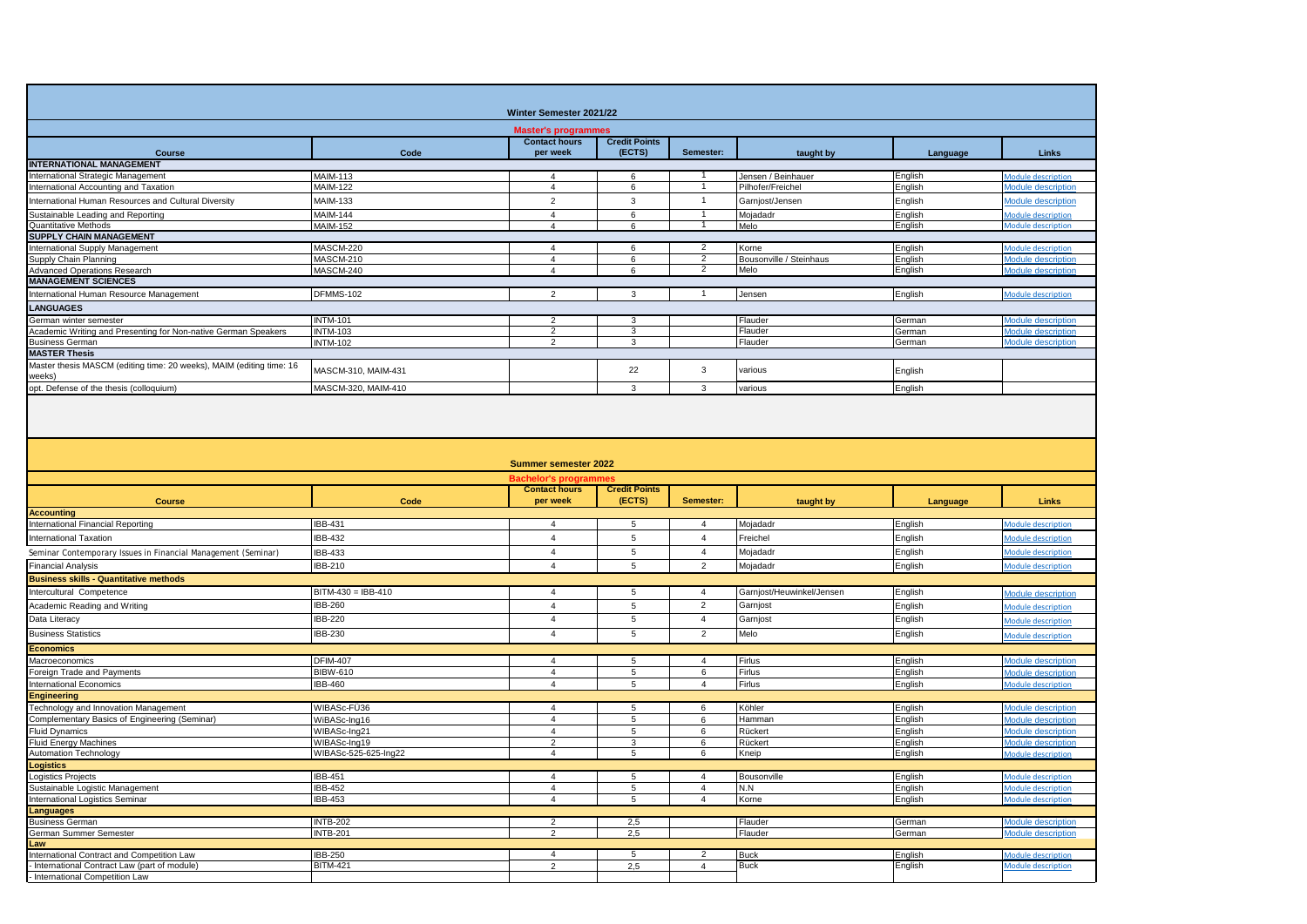| Winter Semester 2021/22                                                                   |                                    |                                           |                                |                                  |                                         |                    |                                                        |  |  |
|-------------------------------------------------------------------------------------------|------------------------------------|-------------------------------------------|--------------------------------|----------------------------------|-----------------------------------------|--------------------|--------------------------------------------------------|--|--|
| <b>Master's programmes</b>                                                                |                                    |                                           |                                |                                  |                                         |                    |                                                        |  |  |
| Course                                                                                    | Code                               | <b>Contact hours</b><br>per week          | <b>Credit Points</b><br>(ECTS) | Semester:                        | taught by                               | Language           | <b>Links</b>                                           |  |  |
| <b>INTERNATIONAL MANAGEMENT</b>                                                           |                                    |                                           |                                |                                  |                                         |                    |                                                        |  |  |
| nternational Strategic Management<br>International Accounting and Taxation                | <b>MAIM-113</b><br><b>MAIM-122</b> | $\overline{4}$<br>$\overline{4}$          | 6<br>6                         |                                  | Jensen / Beinhauer<br>Pilhofer/Freichel | English<br>English | Module description<br>Module description               |  |  |
| nternational Human Resources and Cultural Diversity                                       | <b>MAIM-133</b>                    | $\overline{2}$                            | $\mathbf{3}$                   | $\mathbf{1}$                     | Garnjost/Jensen                         | English            | <b>Module description</b>                              |  |  |
| Sustainable Leading and Reporting                                                         | <b>MAIM-144</b>                    | $\overline{4}$                            | $6\overline{6}$                |                                  | Mojadadr                                | English            |                                                        |  |  |
| Quantitative Methods                                                                      | <b>MAIM-152</b>                    | $\Delta$                                  | 6                              |                                  | Melo                                    | English            | <b>Module description</b><br>Module description        |  |  |
| <b>SUPPLY CHAIN MANAGEMENT</b>                                                            |                                    |                                           |                                |                                  |                                         |                    |                                                        |  |  |
| nternational Supply Management                                                            | MASCM-220                          | $\overline{4}$                            | 6                              | $\overline{2}$                   | Korne                                   | English            | Module description                                     |  |  |
| Supply Chain Planning                                                                     | MASCM-210                          | $\overline{4}$                            | 6                              | $\overline{c}$                   | Bousonville / Steinhaus                 | English            | Module description                                     |  |  |
| <b>Advanced Operations Research</b>                                                       | MASCM-240                          | $\overline{4}$                            | 6                              | 2                                | Melo                                    | English            | Module description                                     |  |  |
| <b>MANAGEMENT SCIENCES</b>                                                                | DFMMS-102                          | 2                                         | $\mathbf{3}$                   | $\mathbf{1}$                     | Jensen                                  | English            | <b>Module description</b>                              |  |  |
| International Human Resource Management                                                   |                                    |                                           |                                |                                  |                                         |                    |                                                        |  |  |
| LANGUAGES<br>German winter semester                                                       | <b>INTM-101</b>                    | $\overline{2}$                            | $\overline{3}$                 |                                  | Flauder                                 |                    | Module description                                     |  |  |
| Academic Writing and Presenting for Non-native German Speakers                            | <b>INTM-103</b>                    | $\overline{2}$                            | 3                              |                                  | Flauder                                 | German<br>German   | Module description                                     |  |  |
| <b>Business German</b>                                                                    | <b>INTM-102</b>                    | $\mathcal{L}$                             | $\overline{3}$                 |                                  | Flauder                                 | German             | <b>Module description</b>                              |  |  |
| <b>MASTER Thesis</b>                                                                      |                                    |                                           |                                |                                  |                                         |                    |                                                        |  |  |
| Master thesis MASCM (editing time: 20 weeks), MAIM (editing time: 16                      | MASCM-310, MAIM-431                |                                           | 22                             | 3                                | various                                 | English            |                                                        |  |  |
| weeks)                                                                                    |                                    |                                           |                                |                                  |                                         |                    |                                                        |  |  |
| opt. Defense of the thesis (colloquium)                                                   | MASCM-320, MAIM-410                |                                           | $\mathbf{3}$                   | 3                                | various                                 | English            |                                                        |  |  |
|                                                                                           |                                    |                                           |                                |                                  |                                         |                    |                                                        |  |  |
|                                                                                           |                                    | <b>Summer semester 2022</b>               |                                |                                  |                                         |                    |                                                        |  |  |
|                                                                                           |                                    | Bachelor's programme                      |                                |                                  |                                         |                    |                                                        |  |  |
|                                                                                           |                                    |                                           |                                |                                  |                                         |                    |                                                        |  |  |
|                                                                                           |                                    | <b>Contact hours</b>                      | <b>Credit Points</b>           |                                  |                                         |                    |                                                        |  |  |
| <b>Course</b>                                                                             | Code                               | per week                                  | (ECTS)                         | Semester:                        | taught by                               | Language           | Links                                                  |  |  |
| <b>Accounting</b><br>International Financial Reporting                                    | IBB-431                            | $\overline{4}$                            | 5                              | 4                                | Mojadadr                                | English            | <b>Module description</b>                              |  |  |
| International Taxation                                                                    | IBB-432                            | $\overline{4}$                            | 5                              | $\overline{4}$                   | Freichel                                | English            | Module description                                     |  |  |
|                                                                                           |                                    | $\overline{4}$                            |                                | $\overline{4}$                   |                                         |                    |                                                        |  |  |
| Seminar Contemporary Issues in Financial Management (Seminar)                             | <b>IBB-433</b>                     | $\overline{4}$                            | $\sqrt{5}$<br>5                | $\overline{2}$                   | Mojadadr                                | English            | Module description                                     |  |  |
| <b>Financial Analysis</b>                                                                 | IBB-210                            |                                           |                                |                                  | Mojadadr                                | English            | <b>Module description</b>                              |  |  |
| <b>Business skills - Quantitative methods</b><br>Intercultural Competence                 | BITM-430 = IBB-410                 | $\overline{4}$                            | 5                              | $\overline{4}$                   | Garnjost/Heuwinkel/Jensen               |                    |                                                        |  |  |
|                                                                                           |                                    |                                           |                                |                                  |                                         | English            | Module description                                     |  |  |
| Academic Reading and Writing                                                              | <b>IBB-260</b>                     | $\overline{4}$                            | $\,$ 5 $\,$                    | $\overline{2}$                   | Garnjost                                | English            | Module description                                     |  |  |
| Data Literacy                                                                             | <b>IBB-220</b>                     | $\overline{4}$                            | $\overline{5}$                 | $\overline{4}$                   | Garnjost                                | English            | Module description                                     |  |  |
| <b>Business Statistics</b>                                                                | IBB-230                            | $\overline{4}$                            | 5                              | $\overline{2}$                   | Melo                                    | English            | Module description                                     |  |  |
| <b>Economics</b>                                                                          |                                    |                                           |                                |                                  |                                         |                    |                                                        |  |  |
| Macroeconomics                                                                            | <b>DFIM-407</b>                    | $\overline{4}$                            | $5\phantom{.0}$                | $\overline{4}$                   | Firlus                                  | English            | Module description                                     |  |  |
| Foreign Trade and Payments                                                                | <b>BIBW-610</b>                    | $\overline{4}$<br>$\overline{4}$          | $\sqrt{5}$                     | 6<br>$\overline{4}$              | Firlus                                  | English            | Module description                                     |  |  |
| <b>International Economics</b>                                                            | <b>IBB-460</b>                     |                                           | 5                              |                                  | Firlus                                  | English            | <b>Module description</b>                              |  |  |
| <b>Engineering</b><br>Technology and Innovation Management                                | WIBASc-FÜ36                        | $\overline{4}$                            | 5                              | 6                                | Köhler                                  | English            | <b>Module description</b>                              |  |  |
| Complementary Basics of Engineering (Seminar)                                             | WiBASc-Ing16                       | $\overline{4}$                            | $5\phantom{.0}$                | 6                                | Hamman                                  | English            | Module description                                     |  |  |
| Fluid Dynamics                                                                            | WIBASc-Ing21                       | $\overline{4}$                            | $\sqrt{5}$                     | 6                                | Rückert                                 | English            | Module description                                     |  |  |
| Fluid Energy Machines                                                                     | WIBASc-Ing19                       | $\overline{2}$                            | $\mathbf{3}$                   | 6                                | Rückert                                 | English            | <b>Module description</b>                              |  |  |
| <b>Automation Technology</b>                                                              | WIBASc-525-625-Ing22               | $\overline{4}$                            | 5                              | 6                                | Kneip                                   | English            | <b>Module description</b>                              |  |  |
| ogistics                                                                                  |                                    |                                           |                                |                                  |                                         |                    |                                                        |  |  |
| Logistics Projects                                                                        | <b>IBB-451</b>                     | 4                                         | 5                              | $\overline{4}$                   | Bousonville                             | English            | <b>Module description</b>                              |  |  |
| Sustainable Logistic Management                                                           | <b>IBB-452</b><br><b>IBB-453</b>   | $\overline{4}$<br>$\overline{\mathbf{A}}$ | 5<br>5                         | $\overline{4}$<br>$\overline{4}$ | N.N                                     | English            | <b>Module description</b><br><b>Module description</b> |  |  |
| <b>International Logistics Seminar</b><br>Languages                                       |                                    |                                           |                                |                                  | Korne                                   | English            |                                                        |  |  |
| Business German                                                                           | <b>INTB-202</b>                    | $\overline{2}$                            | 2,5                            |                                  | Flauder                                 | German             | <b>Module description</b>                              |  |  |
| German Summer Semester                                                                    | <b>INTB-201</b>                    | $\mathcal{P}$                             | 2,5                            |                                  | Flauder                                 | German             | <b>Module description</b>                              |  |  |
| Law                                                                                       |                                    |                                           |                                |                                  |                                         |                    |                                                        |  |  |
| International Contract and Competition Law<br>International Contract Law (part of module) | <b>IBB-250</b><br><b>BITM-421</b>  | $\overline{4}$<br>$\overline{2}$          | 5<br>2,5                       | $\overline{4}$                   | Buck<br><b>Buck</b>                     | English<br>English | <b>Module description</b><br>Module description        |  |  |